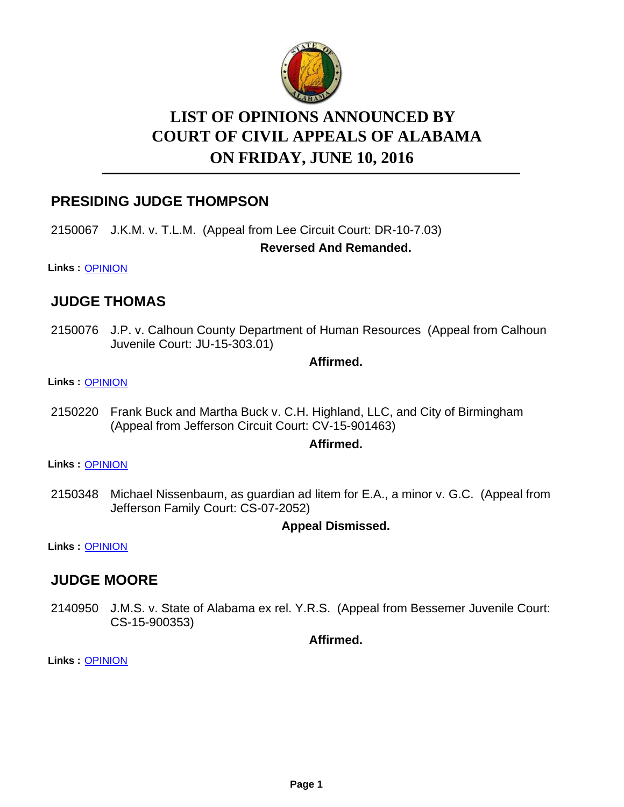

# **LIST OF OPINIONS ANNOUNCED BY ON FRIDAY, JUNE 10, 2016 COURT OF CIVIL APPEALS OF ALABAMA**

# **PRESIDING JUDGE THOMPSON**

2150067 J.K.M. v. T.L.M. (Appeal from Lee Circuit Court: DR-10-7.03)

#### **Reversed And Remanded.**

**Links :** [OPINION](https://acis.alabama.gov/displaydocs.cfm?no=741277&event=4NM0KLPZ3)

# **JUDGE THOMAS**

2150076 J.P. v. Calhoun County Department of Human Resources (Appeal from Calhoun Juvenile Court: JU-15-303.01)

#### **Affirmed.**

**Links :** [OPINION](https://acis.alabama.gov/displaydocs.cfm?no=741278&event=4NM0KLQJG)

2150220 Frank Buck and Martha Buck v. C.H. Highland, LLC, and City of Birmingham (Appeal from Jefferson Circuit Court: CV-15-901463)

#### **Affirmed.**

**Links :** [OPINION](https://acis.alabama.gov/displaydocs.cfm?no=741280&event=4NM0KLRJ0)

2150348 Michael Nissenbaum, as guardian ad litem for E.A., a minor v. G.C. (Appeal from Jefferson Family Court: CS-07-2052)

#### **Appeal Dismissed.**

**Links :** [OPINION](https://acis.alabama.gov/displaydocs.cfm?no=741283&event=4NM0KLWSC)

### **JUDGE MOORE**

2140950 J.M.S. v. State of Alabama ex rel. Y.R.S. (Appeal from Bessemer Juvenile Court: CS-15-900353)

**Affirmed.**

**Links :** [OPINION](https://acis.alabama.gov/displaydocs.cfm?no=741275&event=4NM0KLO8A)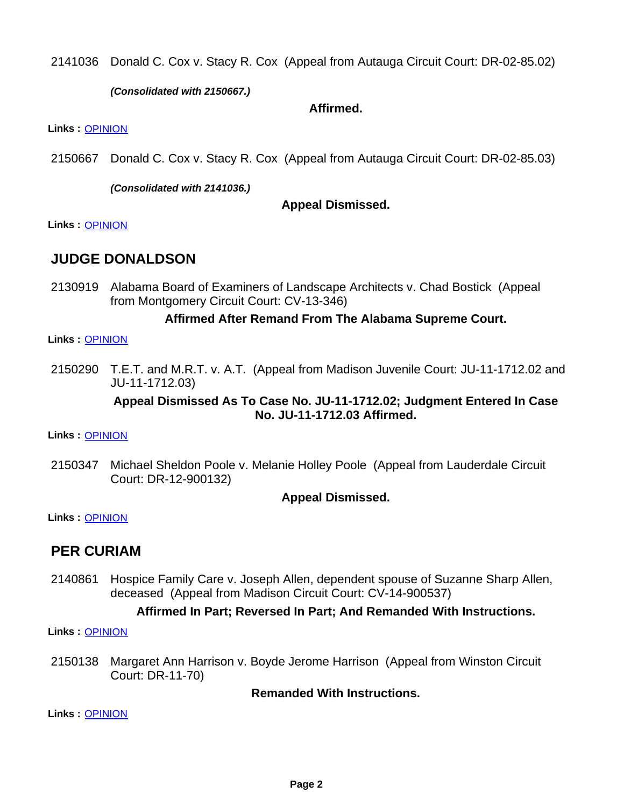Donald C. Cox v. Stacy R. Cox (Appeal from Autauga Circuit Court: DR-02-85.02) 2141036

*(Consolidated with 2150667.)*

#### **Affirmed.**

**Links :** [OPINION](https://acis.alabama.gov/displaydocs.cfm?no=741276&event=4NM0KLOJ3)

Donald C. Cox v. Stacy R. Cox (Appeal from Autauga Circuit Court: DR-02-85.03) 2150667

*(Consolidated with 2141036.)*

**Appeal Dismissed.**

**Links :** [OPINION](https://acis.alabama.gov/displaydocs.cfm?no=741276&event=4NM0KLOJ3)

### **JUDGE DONALDSON**

2130919 Alabama Board of Examiners of Landscape Architects v. Chad Bostick (Appeal from Montgomery Circuit Court: CV-13-346)

#### **Affirmed After Remand From The Alabama Supreme Court.**

#### **Links :** [OPINION](https://acis.alabama.gov/displaydocs.cfm?no=741272&event=4NM0KLN8Q)

2150290 T.E.T. and M.R.T. v. A.T. (Appeal from Madison Juvenile Court: JU-11-1712.02 and JU-11-1712.03)

#### **Appeal Dismissed As To Case No. JU-11-1712.02; Judgment Entered In Case No. JU-11-1712.03 Affirmed.**

**Links :** [OPINION](https://acis.alabama.gov/displaydocs.cfm?no=741281&event=4NM0KLS21)

2150347 Michael Sheldon Poole v. Melanie Holley Poole (Appeal from Lauderdale Circuit Court: DR-12-900132)

**Appeal Dismissed.**

**Links :** [OPINION](https://acis.alabama.gov/displaydocs.cfm?no=741282&event=4NM0KLTE6)

### **PER CURIAM**

Hospice Family Care v. Joseph Allen, dependent spouse of Suzanne Sharp Allen, deceased (Appeal from Madison Circuit Court: CV-14-900537) 2140861

#### **Affirmed In Part; Reversed In Part; And Remanded With Instructions.**

**Links :** [OPINION](https://acis.alabama.gov/displaydocs.cfm?no=741274&event=4NM0KLNW4)

2150138 Margaret Ann Harrison v. Boyde Jerome Harrison (Appeal from Winston Circuit Court: DR-11-70)

**Remanded With Instructions.**

**Links :** [OPINION](https://acis.alabama.gov/displaydocs.cfm?no=741279&event=4NM0KLR23)